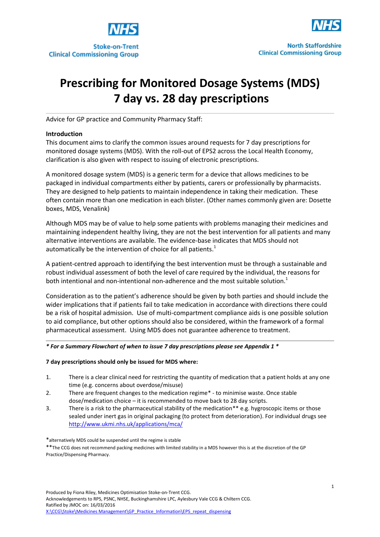



# **Prescribing for Monitored Dosage Systems (MDS) 7 day vs. 28 day prescriptions**

Advice for GP practice and Community Pharmacy Staff:

## **Introduction**

This document aims to clarify the common issues around requests for 7 day prescriptions for monitored dosage systems (MDS). With the roll-out of EPS2 across the Local Health Economy, clarification is also given with respect to issuing of electronic prescriptions.

A monitored dosage system (MDS) is a generic term for a device that allows medicines to be packaged in individual compartments either by patients, carers or professionally by pharmacists. They are designed to help patients to maintain independence in taking their medication. These often contain more than one medication in each blister. (Other names commonly given are: Dosette boxes, MDS, Venalink)

Although MDS may be of value to help some patients with problems managing their medicines and maintaining independent healthy living, they are not the best intervention for all patients and many alternative interventions are available. The evidence-base indicates that MDS should not automatically be the intervention of choice for all patients.<sup>1</sup>

A patient-centred approach to identifying the best intervention must be through a sustainable and robust individual assessment of both the level of care required by the individual, the reasons for both intentional and non-intentional non-adherence and the most suitable solution. $1$ 

Consideration as to the patient's adherence should be given by both parties and should include the wider implications that if patients fail to take medication in accordance with directions there could be a risk of hospital admission. Use of multi-compartment compliance aids is one possible solution to aid compliance, but other options should also be considered, within the framework of a formal pharmaceutical assessment. Using MDS does not guarantee adherence to treatment.

## *\* For a Summary Flowchart of when to issue 7 day prescriptions please see Appendix 1 \**

## **7 day prescriptions should only be issued for MDS where:**

- 1. There is a clear clinical need for restricting the quantity of medication that a patient holds at any one time (e.g. concerns about overdose/misuse)
- 2. There are frequent changes to the medication regime\* to minimise waste. Once stable dose/medication choice – it is recommended to move back to 28 day scripts.
- 3. There is a risk to the pharmaceutical stability of the medication\*\* e.g. hygroscopic items or those sealed under inert gas in original packaging (to protect from deterioration). For individual drugs see <http://www.ukmi.nhs.uk/applications/mca/>

\*\*The CCG does not recommend packing medicines with limited stability in a MDS however this is at the discretion of the GP Practice/Dispensing Pharmacy.

<sup>\*</sup>alternatively MDS could be suspended until the regime is stable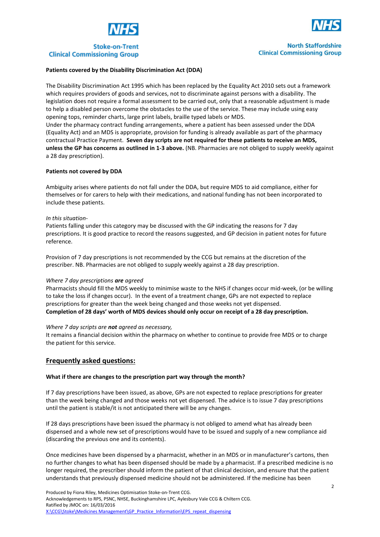





**North Staffordshire Clinical Commissioning Group** 

#### **Patients covered by the Disability Discrimination Act (DDA)**

The Disability Discrimination Act 1995 which has been replaced by the Equality Act 2010 sets out a framework which requires providers of goods and services, not to discriminate against persons with a disability. The legislation does not require a formal assessment to be carried out, only that a reasonable adjustment is made to help a disabled person overcome the obstacles to the use of the service. These may include using easy opening tops, reminder charts, large print labels, braille typed labels or MDS. Under the pharmacy contract funding arrangements, where a patient has been assessed under the DDA

(Equality Act) and an MDS is appropriate, provision for funding is already available as part of the pharmacy contractual Practice Payment. **Seven day scripts are not required for these patients to receive an MDS, unless the GP has concerns as outlined in 1-3 above.** (NB. Pharmacies are not obliged to supply weekly against a 28 day prescription).

#### **Patients not covered by DDA**

Ambiguity arises where patients do not fall under the DDA, but require MDS to aid compliance, either for themselves or for carers to help with their medications, and national funding has not been incorporated to include these patients.

#### *In this situation-*

Patients falling under this category may be discussed with the GP indicating the reasons for 7 day prescriptions. It is good practice to record the reasons suggested, and GP decision in patient notes for future reference.

Provision of 7 day prescriptions is not recommended by the CCG but remains at the discretion of the prescriber. NB. Pharmacies are not obliged to supply weekly against a 28 day prescription.

#### *Where 7 day prescriptions are agreed*

Pharmacists should fill the MDS weekly to minimise waste to the NHS if changes occur mid-week, (or be willing to take the loss if changes occur). In the event of a treatment change, GPs are not expected to replace prescriptions for greater than the week being changed and those weeks not yet dispensed. **Completion of 28 days' worth of MDS devices should only occur on receipt of a 28 day prescription.**

#### *Where 7 day scripts are not agreed as necessary,*

It remains a financial decision within the pharmacy on whether to continue to provide free MDS or to charge the patient for this service.

## **Frequently asked questions:**

## **What if there are changes to the prescription part way through the month?**

If 7 day prescriptions have been issued, as above, GPs are not expected to replace prescriptions for greater than the week being changed and those weeks not yet dispensed. The advice is to issue 7 day prescriptions until the patient is stable/it is not anticipated there will be any changes.

If 28 days prescriptions have been issued the pharmacy is not obliged to amend what has already been dispensed and a whole new set of prescriptions would have to be issued and supply of a new compliance aid (discarding the previous one and its contents).

Once medicines have been dispensed by a pharmacist, whether in an MDS or in manufacturer's cartons, then no further changes to what has been dispensed should be made by a pharmacist. If a prescribed medicine is no longer required, the prescriber should inform the patient of that clinical decision, and ensure that the patient understands that previously dispensed medicine should not be administered. If the medicine has been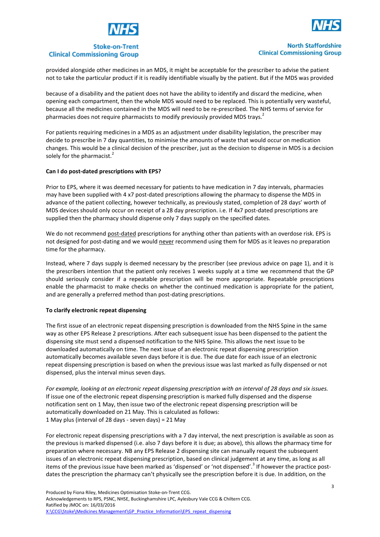



# **Stoke-on-Trent Clinical Commissioning Group**

#### **North Staffordshire Clinical Commissioning Group**

provided alongside other medicines in an MDS, it might be acceptable for the prescriber to advise the patient not to take the particular product if it is readily identifiable visually by the patient. But if the MDS was provided

because of a disability and the patient does not have the ability to identify and discard the medicine, when opening each compartment, then the whole MDS would need to be replaced. This is potentially very wasteful, because all the medicines contained in the MDS will need to be re-prescribed. The NHS terms of service for pharmacies does not require pharmacists to modify previously provided MDS trays.<sup>2</sup>

For patients requiring medicines in a MDS as an adjustment under disability legislation, the prescriber may decide to prescribe in 7 day quantities, to minimise the amounts of waste that would occur on medication changes. This would be a clinical decision of the prescriber, just as the decision to dispense in MDS is a decision solely for the pharmacist.<sup>2</sup>

## **Can I do post-dated prescriptions with EPS?**

Prior to EPS, where it was deemed necessary for patients to have medication in 7 day intervals, pharmacies may have been supplied with 4 x7 post-dated prescriptions allowing the pharmacy to dispense the MDS in advance of the patient collecting, however technically, as previously stated, completion of 28 days' worth of MDS devices should only occur on receipt of a 28 day prescription. i.e. If 4x7 post-dated prescriptions are supplied then the pharmacy should dispense only 7 days supply on the specified dates.

We do not recommend post-dated prescriptions for anything other than patients with an overdose risk. EPS is not designed for post-dating and we would never recommend using them for MDS as it leaves no preparation time for the pharmacy.

Instead, where 7 days supply is deemed necessary by the prescriber (see previous advice on page 1), and it is the prescribers intention that the patient only receives 1 weeks supply at a time we recommend that the GP should seriously consider if a repeatable prescription will be more appropriate. Repeatable prescriptions enable the pharmacist to make checks on whether the continued medication is appropriate for the patient, and are generally a preferred method than post-dating prescriptions.

## **To clarify electronic repeat dispensing**

The first issue of an electronic repeat dispensing prescription is downloaded from the NHS Spine in the same way as other EPS Release 2 prescriptions. After each subsequent issue has been dispensed to the patient the dispensing site must send a dispensed notification to the NHS Spine. This allows the next issue to be downloaded automatically on time. The next issue of an electronic repeat dispensing prescription automatically becomes available seven days before it is due. The due date for each issue of an electronic repeat dispensing prescription is based on when the previous issue was last marked as fully dispensed or not dispensed, plus the interval minus seven days.

*For example, looking at an electronic repeat dispensing prescription with an interval of 28 days and six issues.*  If issue one of the electronic repeat dispensing prescription is marked fully dispensed and the dispense notification sent on 1 May, then issue two of the electronic repeat dispensing prescription will be automatically downloaded on 21 May. This is calculated as follows: 1 May plus (interval of 28 days - seven days) = 21 May

For electronic repeat dispensing prescriptions with a 7 day interval, the next prescription is available as soon as the previous is marked dispensed (i.e. also 7 days before it is due; as above), this allows the pharmacy time for preparation where necessary. NB any EPS Release 2 dispensing site can manually request the subsequent issues of an electronic repeat dispensing prescription, based on clinical judgement at any time, as long as all items of the previous issue have been marked as 'dispensed' or 'not dispensed'.<sup>3</sup> If however the practice postdates the prescription the pharmacy can't physically see the prescription before it is due. In addition, on the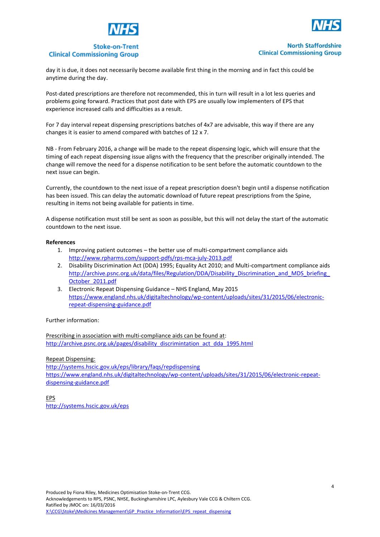





## **Stoke-on-Trent Clinical Commissioning Group**

**North Staffordshire Clinical Commissioning Group** 

day it is due, it does not necessarily become available first thing in the morning and in fact this could be anytime during the day.

Post-dated prescriptions are therefore not recommended, this in turn will result in a lot less queries and problems going forward. Practices that post date with EPS are usually low implementers of EPS that experience increased calls and difficulties as a result.

For 7 day interval repeat dispensing prescriptions batches of 4x7 are advisable, this way if there are any changes it is easier to amend compared with batches of 12 x 7.

NB - From February 2016, a change will be made to the repeat dispensing logic, which will ensure that the timing of each repeat dispensing issue aligns with the frequency that the prescriber originally intended. The change will remove the need for a dispense notification to be sent before the automatic countdown to the next issue can begin.

Currently, the countdown to the next issue of a repeat prescription doesn't begin until a dispense notification has been issued. This can delay the automatic download of future repeat prescriptions from the Spine, resulting in items not being available for patients in time.

A dispense notification must still be sent as soon as possible, but this will not delay the start of the automatic countdown to the next issue.

## **References**

- 1. Improving patient outcomes the better use of multi-compartment compliance aids <http://www.rpharms.com/support-pdfs/rps-mca-july-2013.pdf>
- 2. Disability Discrimination Act (DDA) 1995; Equality Act 2010; and Multi-compartment compliance aids http://archive.psnc.org.uk/data/files/Regulation/DDA/Disability\_Discrimination\_and\_MDS\_briefing [October\\_2011.pdf](http://archive.psnc.org.uk/data/files/Regulation/DDA/Disability_Discrimination_and_MDS_briefing_October_2011.pdf)
- 3. Electronic Repeat Dispensing Guidance NHS England, May 2015 [https://www.england.nhs.uk/digitaltechnology/wp-content/uploads/sites/31/2015/06/electronic](https://www.england.nhs.uk/digitaltechnology/wp-content/uploads/sites/31/2015/06/electronic-repeat-dispensing-guidance.pdf)[repeat-dispensing-guidance.pdf](https://www.england.nhs.uk/digitaltechnology/wp-content/uploads/sites/31/2015/06/electronic-repeat-dispensing-guidance.pdf)

## Further information:

Prescribing in association with multi-compliance aids can be found at: [http://archive.psnc.org.uk/pages/disability\\_discrimintation\\_act\\_dda\\_1995.html](http://archive.psnc.org.uk/pages/disability_discrimintation_act_dda_1995.html)

Repeat Dispensing:

<http://systems.hscic.gov.uk/eps/library/faqs/repdispensing> [https://www.england.nhs.uk/digitaltechnology/wp-content/uploads/sites/31/2015/06/electronic-repeat](https://www.england.nhs.uk/digitaltechnology/wp-content/uploads/sites/31/2015/06/electronic-repeat-dispensing-guidance.pdf)[dispensing-guidance.pdf](https://www.england.nhs.uk/digitaltechnology/wp-content/uploads/sites/31/2015/06/electronic-repeat-dispensing-guidance.pdf)

EPS <http://systems.hscic.gov.uk/eps>